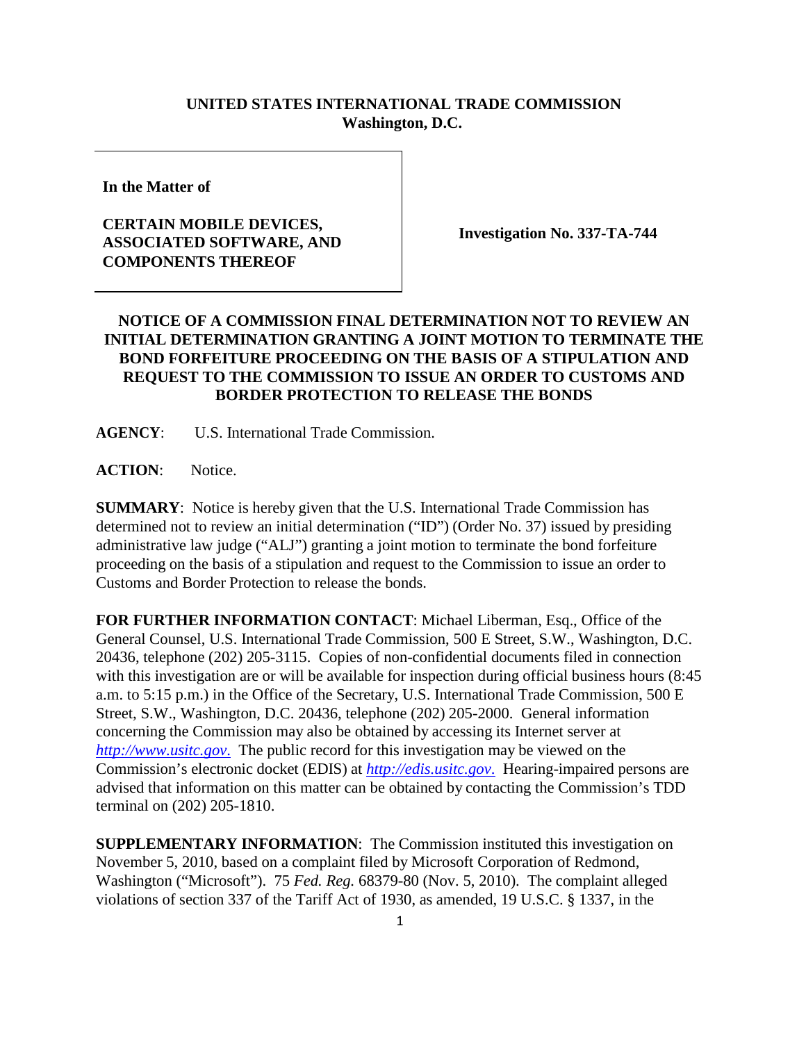## **UNITED STATES INTERNATIONAL TRADE COMMISSION Washington, D.C.**

**In the Matter of**

## **CERTAIN MOBILE DEVICES, ASSOCIATED SOFTWARE, AND COMPONENTS THEREOF**

**Investigation No. 337-TA-744**

## **NOTICE OF A COMMISSION FINAL DETERMINATION NOT TO REVIEW AN INITIAL DETERMINATION GRANTING A JOINT MOTION TO TERMINATE THE BOND FORFEITURE PROCEEDING ON THE BASIS OF A STIPULATION AND REQUEST TO THE COMMISSION TO ISSUE AN ORDER TO CUSTOMS AND BORDER PROTECTION TO RELEASE THE BONDS**

**AGENCY**: U.S. International Trade Commission.

**ACTION**: Notice.

**SUMMARY**: Notice is hereby given that the U.S. International Trade Commission has determined not to review an initial determination ("ID") (Order No. 37) issued by presiding administrative law judge ("ALJ") granting a joint motion to terminate the bond forfeiture proceeding on the basis of a stipulation and request to the Commission to issue an order to Customs and Border Protection to release the bonds.

**FOR FURTHER INFORMATION CONTACT**: Michael Liberman, Esq., Office of the General Counsel, U.S. International Trade Commission, 500 E Street, S.W., Washington, D.C. 20436, telephone (202) 205-3115. Copies of non-confidential documents filed in connection with this investigation are or will be available for inspection during official business hours  $(8.45)$ a.m. to 5:15 p.m.) in the Office of the Secretary, U.S. International Trade Commission, 500 E Street, S.W., Washington, D.C. 20436, telephone (202) 205-2000. General information concerning the Commission may also be obtained by accessing its Internet server at *[http://www.usitc.gov](http://www.usitc.gov./)*. The public record for this investigation may be viewed on the Commission's electronic docket (EDIS) at *[http://edis.usitc.gov](http://edis.usitc.gov./)*. Hearing-impaired persons are advised that information on this matter can be obtained by contacting the Commission's TDD terminal on (202) 205-1810.

**SUPPLEMENTARY INFORMATION**: The Commission instituted this investigation on November 5, 2010, based on a complaint filed by Microsoft Corporation of Redmond, Washington ("Microsoft"). 75 *Fed. Reg.* 68379-80 (Nov. 5, 2010). The complaint alleged violations of section 337 of the Tariff Act of 1930, as amended, 19 U.S.C. § 1337, in the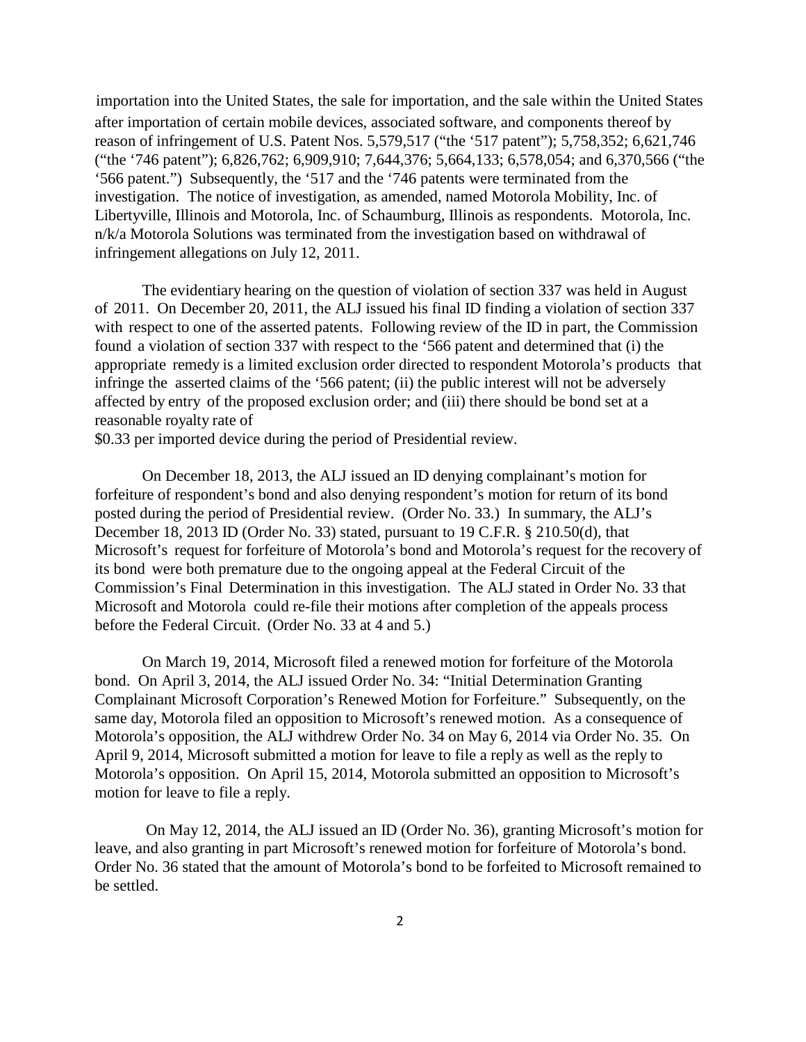importation into the United States, the sale for importation, and the sale within the United States after importation of certain mobile devices, associated software, and components thereof by reason of infringement of U.S. Patent Nos. 5,579,517 ("the '517 patent"); 5,758,352; 6,621,746 ("the '746 patent"); 6,826,762; 6,909,910; 7,644,376; 5,664,133; 6,578,054; and 6,370,566 ("the '566 patent.") Subsequently, the '517 and the '746 patents were terminated from the investigation. The notice of investigation, as amended, named Motorola Mobility, Inc. of Libertyville, Illinois and Motorola, Inc. of Schaumburg, Illinois as respondents. Motorola, Inc. n/k/a Motorola Solutions was terminated from the investigation based on withdrawal of infringement allegations on July 12, 2011.

The evidentiary hearing on the question of violation of section 337 was held in August of 2011. On December 20, 2011, the ALJ issued his final ID finding a violation of section 337 with respect to one of the asserted patents. Following review of the ID in part, the Commission found a violation of section 337 with respect to the '566 patent and determined that (i) the appropriate remedy is a limited exclusion order directed to respondent Motorola's products that infringe the asserted claims of the '566 patent; (ii) the public interest will not be adversely affected by entry of the proposed exclusion order; and (iii) there should be bond set at a reasonable royalty rate of

\$0.33 per imported device during the period of Presidential review.

On December 18, 2013, the ALJ issued an ID denying complainant's motion for forfeiture of respondent's bond and also denying respondent's motion for return of its bond posted during the period of Presidential review. (Order No. 33.) In summary, the ALJ's December 18, 2013 ID (Order No. 33) stated, pursuant to 19 C.F.R. § 210.50(d), that Microsoft's request for forfeiture of Motorola's bond and Motorola's request for the recovery of its bond were both premature due to the ongoing appeal at the Federal Circuit of the Commission's Final Determination in this investigation. The ALJ stated in Order No. 33 that Microsoft and Motorola could re-file their motions after completion of the appeals process before the Federal Circuit. (Order No. 33 at 4 and 5.)

On March 19, 2014, Microsoft filed a renewed motion for forfeiture of the Motorola bond. On April 3, 2014, the ALJ issued Order No. 34: "Initial Determination Granting Complainant Microsoft Corporation's Renewed Motion for Forfeiture." Subsequently, on the same day, Motorola filed an opposition to Microsoft's renewed motion. As a consequence of Motorola's opposition, the ALJ withdrew Order No. 34 on May 6, 2014 via Order No. 35. On April 9, 2014, Microsoft submitted a motion for leave to file a reply as well as the reply to Motorola's opposition. On April 15, 2014, Motorola submitted an opposition to Microsoft's motion for leave to file a reply.

On May 12, 2014, the ALJ issued an ID (Order No. 36), granting Microsoft's motion for leave, and also granting in part Microsoft's renewed motion for forfeiture of Motorola's bond. Order No. 36 stated that the amount of Motorola's bond to be forfeited to Microsoft remained to be settled.